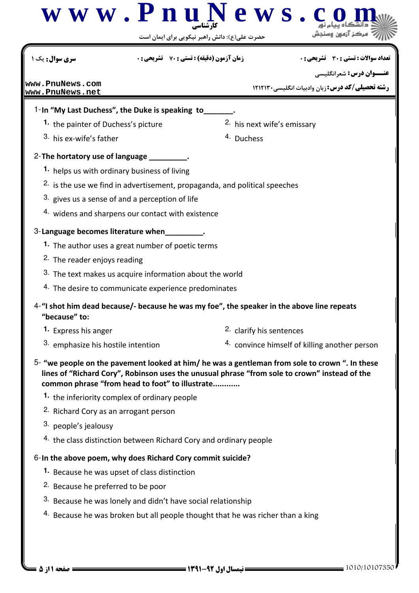

1010/10107350 1391-92 نيمسال اول 1 از 5 صفحه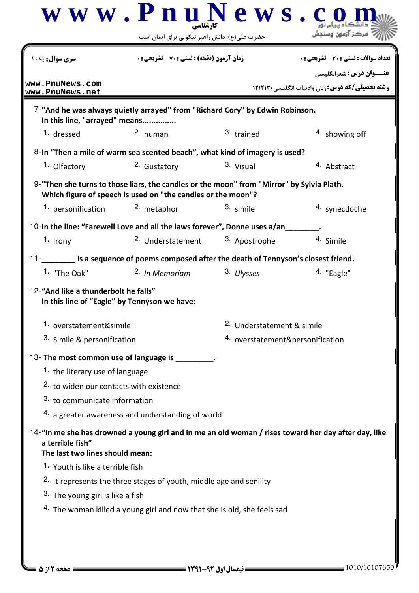|                                                                                         | www.PnuNews.<br>حضرت علی(ع): دانش راهبر نیکویی برای ایمان است                                                                                             |                                  | هرکن آنهمن                                                                                           |
|-----------------------------------------------------------------------------------------|-----------------------------------------------------------------------------------------------------------------------------------------------------------|----------------------------------|------------------------------------------------------------------------------------------------------|
| <b>سری سوال:</b> یک ۱                                                                   | <b>زمان آزمون (دقیقه) : تستی : 70 ٪ تشریحی : 0</b>                                                                                                        |                                  | تعداد سوالات : تستي : 30 ٪ تشريحي : 0                                                                |
| www.PnuNews.com<br>www.PnuNews.net                                                      |                                                                                                                                                           |                                  | <b>عنـــوان درس:</b> شعرانگلیسی<br><b>رشته تحصیلی/کد درس:</b> زبان وادبیات انگلیسی۲۱۲۱۳۰             |
| In this line, "arrayed" means                                                           | 7-"And he was always quietly arrayed" from "Richard Cory" by Edwin Robinson.                                                                              |                                  |                                                                                                      |
| 1. dressed                                                                              | $2.$ human                                                                                                                                                | 3. trained                       | 4. showing off                                                                                       |
|                                                                                         | 8-In "Then a mile of warm sea scented beach", what kind of imagery is used?                                                                               |                                  |                                                                                                      |
| 1. Olfactory                                                                            | 2. Gustatory                                                                                                                                              | 3. Visual                        | 4. Abstract                                                                                          |
|                                                                                         | 9-"Then she turns to those liars, the candles or the moon" from "Mirror" by Sylvia Plath.<br>Which figure of speech is used on "the candles or the moon"? |                                  |                                                                                                      |
| 1. personification                                                                      | 2. metaphor                                                                                                                                               | 3. simile                        | 4. synecdoche                                                                                        |
|                                                                                         | 10-In the line: "Farewell Love and all the laws forever", Donne uses a/an                                                                                 |                                  |                                                                                                      |
| $1.$ Irony                                                                              | 2. Understatement                                                                                                                                         | 3. Apostrophe                    | 4. Simile                                                                                            |
|                                                                                         | 11-_________ is a sequence of poems composed after the death of Tennyson's closest friend.                                                                |                                  |                                                                                                      |
| 1. "The Oak"                                                                            | <sup>2.</sup> In Memoriam                                                                                                                                 | 3. Ulysses                       | 4. "Eagle"                                                                                           |
| 12-"And like a thunderbolt he falls"<br>In this line of "Eagle" by Tennyson we have:    |                                                                                                                                                           |                                  |                                                                                                      |
| 1. overstatement&simile                                                                 |                                                                                                                                                           | 2. Understatement & simile       |                                                                                                      |
| <sup>3.</sup> Simile & personification                                                  |                                                                                                                                                           | 4. overstatement&personification |                                                                                                      |
|                                                                                         | 13- The most common use of language is _________.                                                                                                         |                                  |                                                                                                      |
| 1. the literary use of language                                                         |                                                                                                                                                           |                                  |                                                                                                      |
| 2. to widen our contacts with existence                                                 |                                                                                                                                                           |                                  |                                                                                                      |
| 3. to communicate information                                                           |                                                                                                                                                           |                                  |                                                                                                      |
|                                                                                         | 4. a greater awareness and understanding of world                                                                                                         |                                  |                                                                                                      |
| a terrible fish"<br>The last two lines should mean:<br>1. Youth is like a terrible fish |                                                                                                                                                           |                                  | 14-"In me she has drowned a young girl and in me an old woman / rises toward her day after day, like |
|                                                                                         | <sup>2.</sup> It represents the three stages of youth, middle age and senility                                                                            |                                  |                                                                                                      |
| 3. The young girl is like a fish                                                        |                                                                                                                                                           |                                  |                                                                                                      |
|                                                                                         | 4. The woman killed a young girl and now that she is old, she feels sad                                                                                   |                                  |                                                                                                      |
|                                                                                         |                                                                                                                                                           |                                  |                                                                                                      |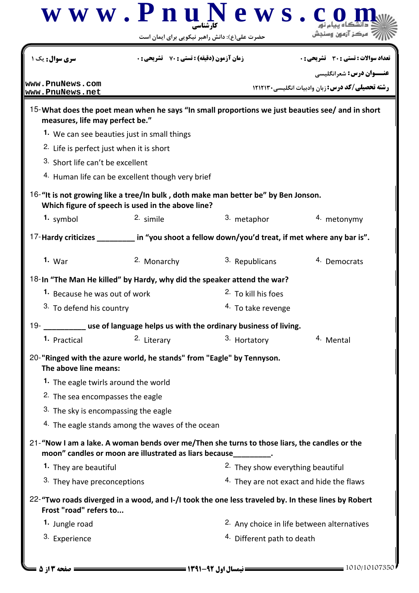|                                                     |                                                                       | $\bf w \ w \ w \ . \ P \ n \ u \ N \ e \ w \ s \ . \ c$<br>حضرت علی(ع): دانش راهبر نیکویی برای ایمان است |                                                                          |
|-----------------------------------------------------|-----------------------------------------------------------------------|----------------------------------------------------------------------------------------------------------|--------------------------------------------------------------------------|
| سری سوال : یک                                       | <b>زمان آزمون (دقیقه) : تستی : 70 ٪ تشریحی : 0</b>                    |                                                                                                          | تعداد سوالات : تستي : 30 ٪ تشريحي : 0<br><b>عنـــوان درس:</b> شعرانگلیسی |
| www.PnuNews.com<br>www.PnuNews.net                  |                                                                       |                                                                                                          | <b>رشته تحصیلی/کد درس:</b> زبان وادبیات انگلیسی۲۱۲۱۳۰                    |
| measures, life may perfect be."                     |                                                                       | 15-What does the poet mean when he says "In small proportions we just beauties see/ and in short         |                                                                          |
|                                                     | 1. We can see beauties just in small things                           |                                                                                                          |                                                                          |
| <sup>2.</sup> Life is perfect just when it is short |                                                                       |                                                                                                          |                                                                          |
| 3. Short life can't be excellent                    |                                                                       |                                                                                                          |                                                                          |
|                                                     | 4. Human life can be excellent though very brief                      |                                                                                                          |                                                                          |
|                                                     | Which figure of speech is used in the above line?                     | 16-"It is not growing like a tree/In bulk, doth make man better be" by Ben Jonson.                       |                                                                          |
| 1. symbol                                           | 2. simile                                                             | 3. metaphor                                                                                              | 4. metonymy                                                              |
|                                                     |                                                                       | 17-Hardy criticizes ____________ in "you shoot a fellow down/you'd treat, if met where any bar is".      |                                                                          |
| $1.$ War                                            | 2. Monarchy                                                           | 3. Republicans                                                                                           | 4. Democrats                                                             |
|                                                     |                                                                       | 18-In "The Man He killed" by Hardy, why did the speaker attend the war?                                  |                                                                          |
| 1. Because he was out of work                       |                                                                       | <sup>2.</sup> To kill his foes                                                                           |                                                                          |
| 3. To defend his country                            |                                                                       | <sup>4.</sup> To take revenge                                                                            |                                                                          |
| $19 -$                                              |                                                                       | _____ use of language helps us with the ordinary business of living.                                     |                                                                          |
| 1. Practical                                        | 2. Literary                                                           | 3. Hortatory                                                                                             | 4. Mental                                                                |
| The above line means:                               | 20-"Ringed with the azure world, he stands" from "Eagle" by Tennyson. |                                                                                                          |                                                                          |
| <sup>1</sup> The eagle twirls around the world      |                                                                       |                                                                                                          |                                                                          |
| <sup>2.</sup> The sea encompasses the eagle         |                                                                       |                                                                                                          |                                                                          |
| 3. The sky is encompassing the eagle                |                                                                       |                                                                                                          |                                                                          |
|                                                     | <sup>4.</sup> The eagle stands among the waves of the ocean           |                                                                                                          |                                                                          |
|                                                     | moon" candles or moon are illustrated as liars because_________.      | 21-"Now I am a lake. A woman bends over me/Then she turns to those liars, the candles or the             |                                                                          |
| 1. They are beautiful                               |                                                                       | 2. They show everything beautiful                                                                        |                                                                          |
| 3. They have preconceptions                         |                                                                       |                                                                                                          | 4. They are not exact and hide the flaws                                 |
| Frost "road" refers to                              |                                                                       | 22-"Two roads diverged in a wood, and I-/I took the one less traveled by. In these lines by Robert       |                                                                          |
| 1. Jungle road                                      |                                                                       |                                                                                                          | <sup>2.</sup> Any choice in life between alternatives                    |
| 3. Experience                                       |                                                                       | <sup>4.</sup> Different path to death                                                                    |                                                                          |
|                                                     |                                                                       |                                                                                                          |                                                                          |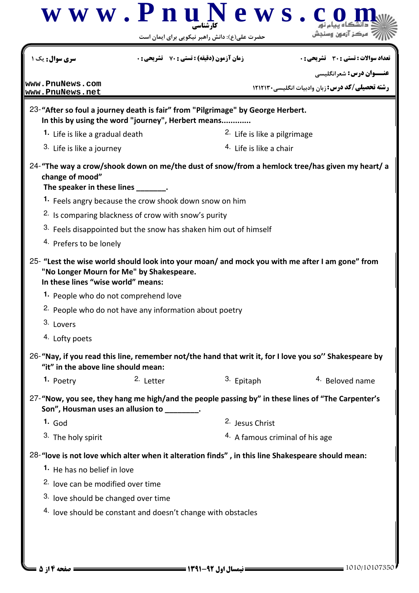| <b>سری سوال:</b> یک ۱                                                                                                            | <b>زمان آزمون (دقیقه) : تستی : 70 ٪ تشریحی : 0</b>                |                                                                             | تعداد سوالات : تستي : 30 ٪ تشريحي : 0                                                                 |  |
|----------------------------------------------------------------------------------------------------------------------------------|-------------------------------------------------------------------|-----------------------------------------------------------------------------|-------------------------------------------------------------------------------------------------------|--|
| www.PnuNews.com                                                                                                                  |                                                                   |                                                                             | <b>عنـــوان درس:</b> شعرانگلیسی                                                                       |  |
| www.PnuNews.net                                                                                                                  |                                                                   |                                                                             | <b>رشته تحصیلی/کد درس: زبان وادبیات انگلیسی۲۱۲۱۳۰</b>                                                 |  |
| 23-"After so foul a journey death is fair" from "Pilgrimage" by George Herbert.                                                  | In this by using the word "journey", Herbert means                |                                                                             |                                                                                                       |  |
| 1. Life is like a gradual death                                                                                                  |                                                                   | <sup>2.</sup> Life is like a pilgrimage                                     |                                                                                                       |  |
| 3. Life is like a journey                                                                                                        |                                                                   |                                                                             | 4. Life is like a chair                                                                               |  |
| change of mood"<br>The speaker in these lines ________.                                                                          |                                                                   |                                                                             | 24-"The way a crow/shook down on me/the dust of snow/from a hemlock tree/has given my heart/ a        |  |
|                                                                                                                                  | 1. Feels angry because the crow shook down snow on him            |                                                                             |                                                                                                       |  |
|                                                                                                                                  | <sup>2.</sup> Is comparing blackness of crow with snow's purity   |                                                                             |                                                                                                       |  |
|                                                                                                                                  |                                                                   | <sup>3.</sup> Feels disappointed but the snow has shaken him out of himself |                                                                                                       |  |
| 4. Prefers to be lonely                                                                                                          |                                                                   |                                                                             |                                                                                                       |  |
| 25- "Lest the wise world should look into your moan/ and mock you with me after I am gone" from                                  |                                                                   |                                                                             |                                                                                                       |  |
| In these lines "wise world" means:                                                                                               | "No Longer Mourn for Me" by Shakespeare.                          |                                                                             |                                                                                                       |  |
| 1. People who do not comprehend love                                                                                             |                                                                   |                                                                             |                                                                                                       |  |
|                                                                                                                                  | <sup>2.</sup> People who do not have any information about poetry |                                                                             |                                                                                                       |  |
| 3. Lovers                                                                                                                        |                                                                   |                                                                             |                                                                                                       |  |
| 4. Lofty poets                                                                                                                   |                                                                   |                                                                             |                                                                                                       |  |
| "it" in the above line should mean:                                                                                              |                                                                   |                                                                             | 26-"Nay, if you read this line, remember not/the hand that writ it, for I love you so" Shakespeare by |  |
| 1. Poetry                                                                                                                        | 2. Letter                                                         | 3. Epitaph                                                                  | 4. Beloved name                                                                                       |  |
|                                                                                                                                  | Son", Housman uses an allusion to ________.                       |                                                                             | 27-"Now, you see, they hang me high/and the people passing by" in these lines of "The Carpenter's     |  |
| $1.$ God                                                                                                                         |                                                                   | 2. Jesus Christ                                                             |                                                                                                       |  |
| 3. The holy spirit                                                                                                               |                                                                   | <sup>4.</sup> A famous criminal of his age                                  |                                                                                                       |  |
|                                                                                                                                  |                                                                   |                                                                             |                                                                                                       |  |
| 28-"love is not love which alter when it alteration finds", in this line Shakespeare should mean:<br>1. He has no belief in love |                                                                   |                                                                             |                                                                                                       |  |
| <sup>2.</sup> love can be modified over time                                                                                     |                                                                   |                                                                             |                                                                                                       |  |
| <sup>3.</sup> love should be changed over time                                                                                   |                                                                   |                                                                             |                                                                                                       |  |